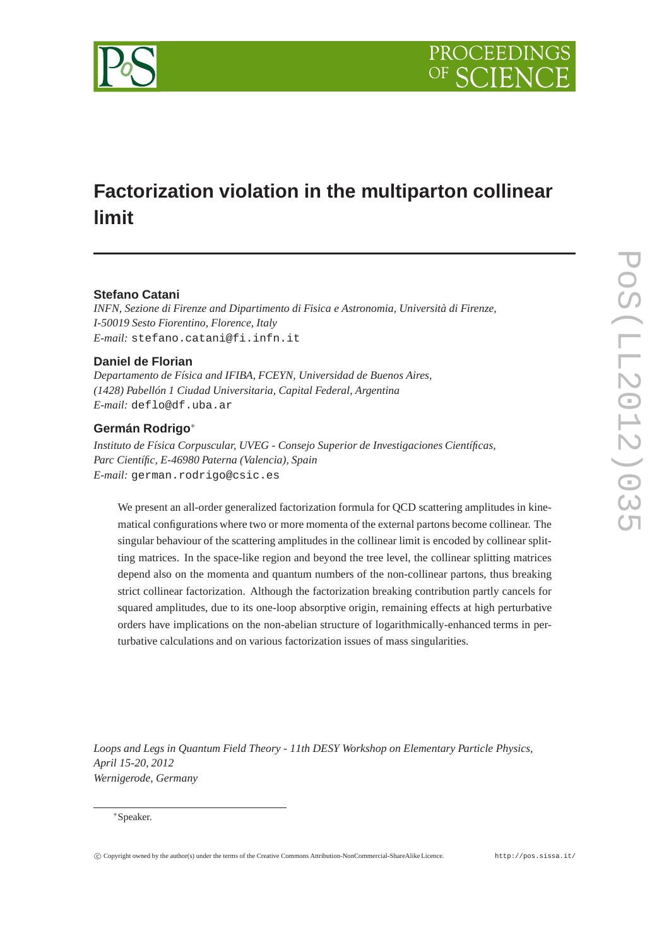

# **Factorization violation in the multiparton collinear limit**

## **Stefano Catani**

*INFN, Sezione di Firenze and Dipartimento di Fisica e Astronomia, Università di Firenze, I-50019 Sesto Fiorentino, Florence, Italy E-mail:* stefano.catani@fi.infn.it

## **Daniel de Florian**

*Departamento de Física and IFIBA, FCEYN, Universidad de Buenos Aires, (1428) Pabellón 1 Ciudad Universitaria, Capital Federal, Argentina E-mail:* deflo@df.uba.ar

## **Germán Rodrigo**<sup>∗</sup>

*Instituto de Física Corpuscular, UVEG - Consejo Superior de Investigaciones Científicas, Parc Científic, E-46980 Paterna (Valencia), Spain E-mail:* german.rodrigo@csic.es

We present an all-order generalized factorization formula for QCD scattering amplitudes in kinematical configurations where two or more momenta of the external partons become collinear. The singular behaviour of the scattering amplitudes in the collinear limit is encoded by collinear splitting matrices. In the space-like region and beyond the tree level, the collinear splitting matrices depend also on the momenta and quantum numbers of the non-collinear partons, thus breaking strict collinear factorization. Although the factorization breaking contribution partly cancels for squared amplitudes, due to its one-loop absorptive origin, remaining effects at high perturbative orders have implications on the non-abelian structure of logarithmically-enhanced terms in perturbative calculations and on various factorization issues of mass singularities.

*Loops and Legs in Quantum Field Theory - 11th DESY Workshop on Elementary Particle Physics, April 15-20, 2012 Wernigerode, Germany*

#### <sup>∗</sup>Speaker.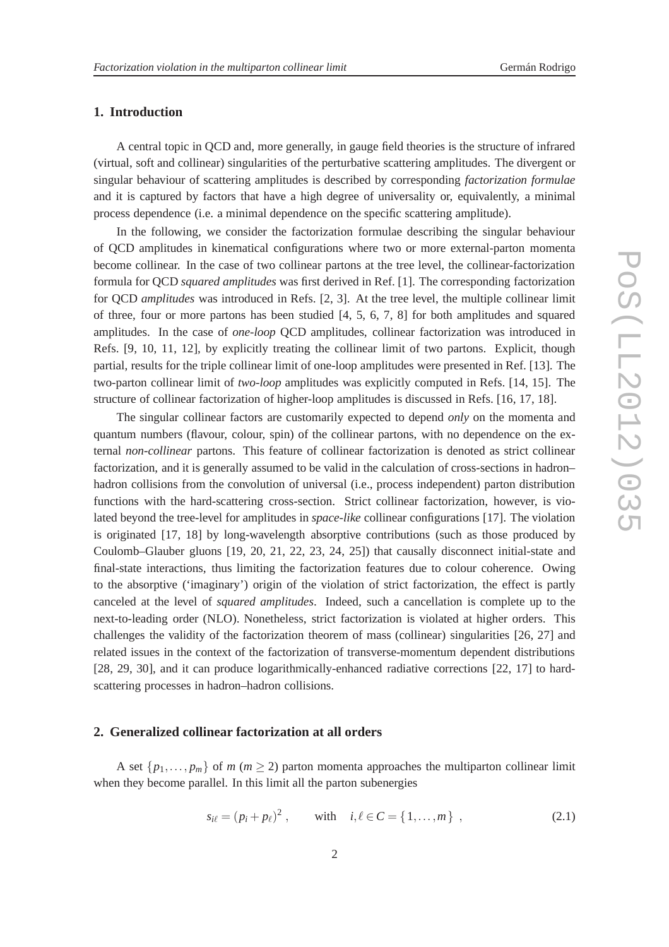#### **1. Introduction**

A central topic in QCD and, more generally, in gauge field theories is the structure of infrared (virtual, soft and collinear) singularities of the perturbative scattering amplitudes. The divergent or singular behaviour of scattering amplitudes is described by corresponding *factorization formulae* and it is captured by factors that have a high degree of universality or, equivalently, a minimal process dependence (i.e. a minimal dependence on the specific scattering amplitude).

In the following, we consider the factorization formulae describing the singular behaviour of QCD amplitudes in kinematical configurations where two or more external-parton momenta become collinear. In the case of two collinear partons at the tree level, the collinear-factorization formula for QCD *squared amplitudes* was first derived in Ref. [1]. The corresponding factorization for QCD *amplitudes* was introduced in Refs. [2, 3]. At the tree level, the multiple collinear limit of three, four or more partons has been studied [4, 5, 6, 7, 8] for both amplitudes and squared amplitudes. In the case of *one-loop* QCD amplitudes, collinear factorization was introduced in Refs. [9, 10, 11, 12], by explicitly treating the collinear limit of two partons. Explicit, though partial, results for the triple collinear limit of one-loop amplitudes were presented in Ref. [13]. The two-parton collinear limit of *two-loop* amplitudes was explicitly computed in Refs. [14, 15]. The structure of collinear factorization of higher-loop amplitudes is discussed in Refs. [16, 17, 18].

The singular collinear factors are customarily expected to depend *only* on the momenta and quantum numbers (flavour, colour, spin) of the collinear partons, with no dependence on the external *non-collinear* partons. This feature of collinear factorization is denoted as strict collinear factorization, and it is generally assumed to be valid in the calculation of cross-sections in hadron– hadron collisions from the convolution of universal (i.e., process independent) parton distribution functions with the hard-scattering cross-section. Strict collinear factorization, however, is violated beyond the tree-level for amplitudes in *space-like* collinear configurations [17]. The violation is originated [17, 18] by long-wavelength absorptive contributions (such as those produced by Coulomb–Glauber gluons [19, 20, 21, 22, 23, 24, 25]) that causally disconnect initial-state and final-state interactions, thus limiting the factorization features due to colour coherence. Owing to the absorptive ('imaginary') origin of the violation of strict factorization, the effect is partly canceled at the level of *squared amplitudes*. Indeed, such a cancellation is complete up to the next-to-leading order (NLO). Nonetheless, strict factorization is violated at higher orders. This challenges the validity of the factorization theorem of mass (collinear) singularities [26, 27] and related issues in the context of the factorization of transverse-momentum dependent distributions [28, 29, 30], and it can produce logarithmically-enhanced radiative corrections [22, 17] to hardscattering processes in hadron–hadron collisions.

### **2. Generalized collinear factorization at all orders**

A set  $\{p_1, \ldots, p_m\}$  of  $m \ (m \geq 2)$  parton momenta approaches the multiparton collinear limit when they become parallel. In this limit all the parton subenergies

$$
s_{i\ell} = (p_i + p_\ell)^2, \quad \text{with} \quad i, \ell \in C = \{1, ..., m\} \tag{2.1}
$$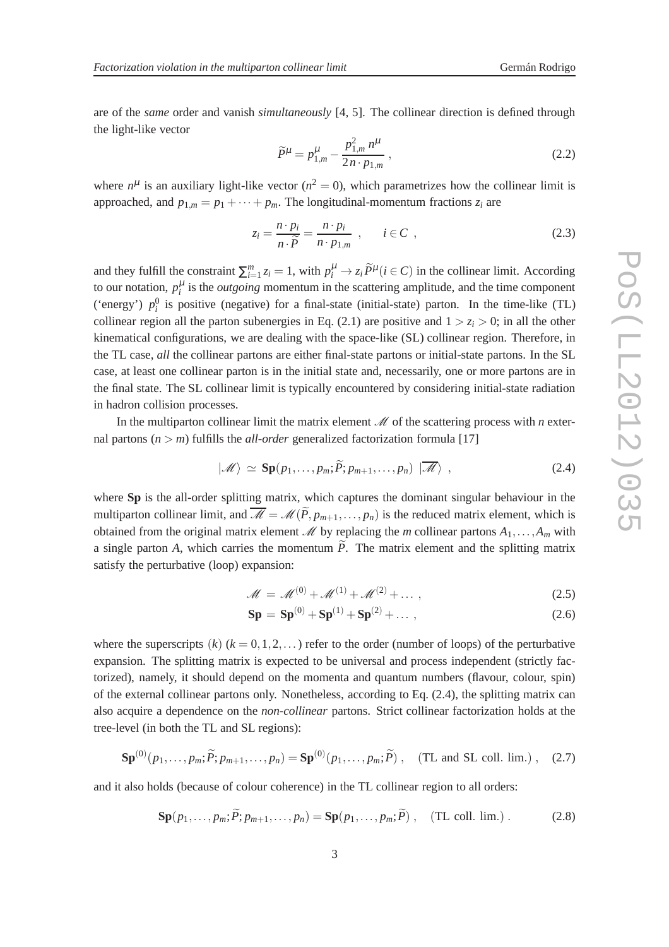are of the *same* order and vanish *simultaneously* [4, 5]. The collinear direction is defined through the light-like vector

$$
\widetilde{P}^{\mu} = p_{1,m}^{\mu} - \frac{p_{1,m}^2 n^{\mu}}{2n \cdot p_{1,m}} \,, \tag{2.2}
$$

where  $n^{\mu}$  is an auxiliary light-like vector ( $n^2 = 0$ ), which parametrizes how the collinear limit is approached, and  $p_{1,m} = p_1 + \cdots + p_m$ . The longitudinal-momentum fractions  $z_i$  are

$$
z_i = \frac{n \cdot p_i}{n \cdot \tilde{P}} = \frac{n \cdot p_i}{n \cdot p_{1,m}} \quad i \in C \quad , \tag{2.3}
$$

and they fulfill the constraint  $\sum_{i=1}^{m} z_i = 1$ , with  $p_i^{\mu} \to z_i \widetilde{P}^{\mu}$  ( $i \in C$ ) in the collinear limit. According to our notation,  $p_i^{\mu}$  is the *outgoing* momentum in the scattering amplitude, and the time component ('energy')  $p_i^0$  is positive (negative) for a final-state (initial-state) parton. In the time-like (TL) collinear region all the parton subenergies in Eq. (2.1) are positive and  $1 > z_i > 0$ ; in all the other kinematical configurations, we are dealing with the space-like (SL) collinear region. Therefore, in the TL case, *all* the collinear partons are either final-state partons or initial-state partons. In the SL case, at least one collinear parton is in the initial state and, necessarily, one or more partons are in the final state. The SL collinear limit is typically encountered by considering initial-state radiation in hadron collision processes.

In the multiparton collinear limit the matrix element  $\mathcal M$  of the scattering process with *n* external partons  $(n > m)$  fulfills the *all-order* generalized factorization formula [17]

$$
|\mathscr{M}\rangle \simeq \mathbf{Sp}(p_1,\ldots,p_m;\widetilde{P};p_{m+1},\ldots,p_n) | \overline{\mathscr{M}}\rangle , \qquad (2.4)
$$

where **Sp** is the all-order splitting matrix, which captures the dominant singular behaviour in the multiparton collinear limit, and  $\overline{\mathcal{M}} = \mathcal{M}(\widetilde{P}, p_{m+1}, \ldots, p_n)$  is the reduced matrix element, which is obtained from the original matrix element  $\mathcal{M}$  by replacing the *m* collinear partons  $A_1, \ldots, A_m$  with a single parton *A*, which carries the momentum  $\tilde{P}$ . The matrix element and the splitting matrix satisfy the perturbative (loop) expansion:

$$
\mathcal{M} = \mathcal{M}^{(0)} + \mathcal{M}^{(1)} + \mathcal{M}^{(2)} + \dots, \qquad (2.5)
$$

$$
Sp = Sp(0) + Sp(1) + Sp(2) + ... ,
$$
\n(2.6)

where the superscripts  $(k)$   $(k = 0, 1, 2, ...)$  refer to the order (number of loops) of the perturbative expansion. The splitting matrix is expected to be universal and process independent (strictly factorized), namely, it should depend on the momenta and quantum numbers (flavour, colour, spin) of the external collinear partons only. Nonetheless, according to Eq. (2.4), the splitting matrix can also acquire a dependence on the *non-collinear* partons. Strict collinear factorization holds at the tree-level (in both the TL and SL regions):

$$
\mathbf{Sp}^{(0)}(p_1,\ldots,p_m;\widetilde{P};p_{m+1},\ldots,p_n)=\mathbf{Sp}^{(0)}(p_1,\ldots,p_m;\widetilde{P})\ ,\quad\text{(TL and SL coll. lim.)}\ ,\quad(2.7)
$$

and it also holds (because of colour coherence) in the TL collinear region to all orders:

$$
\mathbf{Sp}(p_1,\ldots,p_m;\tilde{P};p_{m+1},\ldots,p_n)=\mathbf{Sp}(p_1,\ldots,p_m;\tilde{P})\ ,\quad\text{(TL coll. lim.)}\ .\tag{2.8}
$$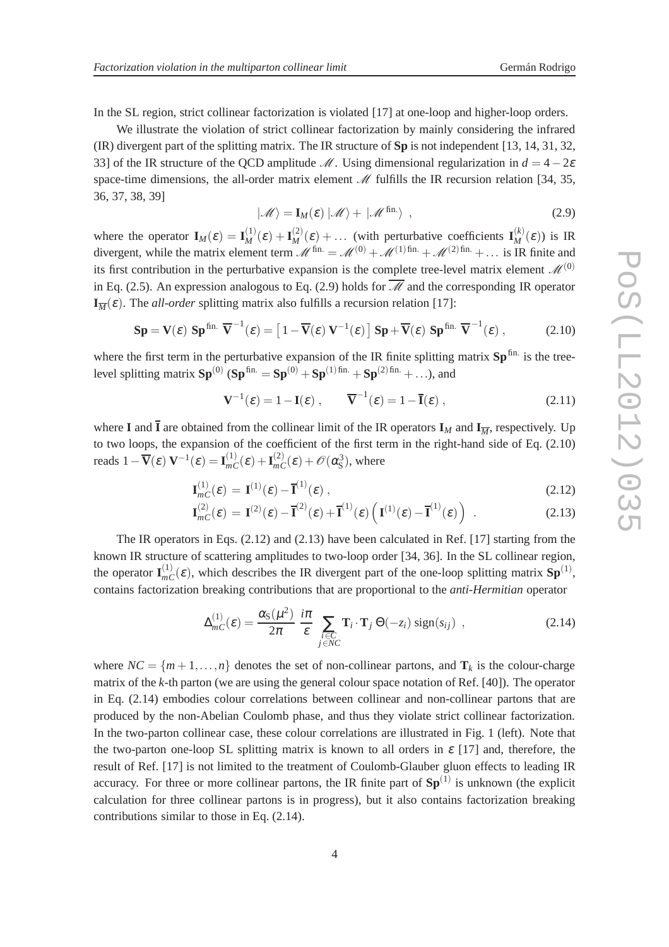In the SL region, strict collinear factorization is violated [17] at one-loop and higher-loop orders.

We illustrate the violation of strict collinear factorization by mainly considering the infrared (IR) divergent part of the splitting matrix. The IR structure of **Sp** is not independent [13, 14, 31, 32, 33] of the IR structure of the QCD amplitude  $\mathcal{M}$ . Using dimensional regularization in  $d = 4-2\varepsilon$ space-time dimensions, the all-order matrix element  $\mathcal M$  fulfills the IR recursion relation [34, 35, 36, 37, 38, 39]

$$
|\mathscr{M}\rangle = \mathbf{I}_M(\varepsilon) |\mathscr{M}\rangle + |\mathscr{M}^{\text{fin.}}\rangle , \qquad (2.9)
$$

where the operator  $\mathbf{I}_M(\varepsilon) = \mathbf{I}_M^{(1)}(\varepsilon) + \mathbf{I}_M^{(2)}(\varepsilon) + \dots$  (with perturbative coefficients  $\mathbf{I}_M^{(k)}(\varepsilon)$ ) is IR divergent, while the matrix element term  $\mathcal{M}^{\text{fin.}} = \mathcal{M}^{(0)} + \mathcal{M}^{(1)\text{fin.}} + \mathcal{M}^{(2)\text{fin.}} + \dots$  is IR finite and its first contribution in the perturbative expansion is the complete tree-level matrix element  $\mathcal{M}^{(0)}$ in Eq. (2.5). An expression analogous to Eq. (2.9) holds for  $\overline{\mathcal{M}}$  and the corresponding IR operator  $\mathbf{I}_{\overline{M}}(\varepsilon)$ . The *all-order* splitting matrix also fulfills a recursion relation [17]:

$$
\mathbf{Sp} = \mathbf{V}(\varepsilon) \; \mathbf{Sp}^{\text{fin.}} \; \overline{\mathbf{V}}^{-1}(\varepsilon) = \left[1 - \overline{\mathbf{V}}(\varepsilon) \; \mathbf{V}^{-1}(\varepsilon)\right] \mathbf{Sp} + \overline{\mathbf{V}}(\varepsilon) \; \mathbf{Sp}^{\text{fin.}} \; \overline{\mathbf{V}}^{-1}(\varepsilon) \; , \tag{2.10}
$$

where the first term in the perturbative expansion of the IR finite splitting matrix  $Sp^{fin.}$  is the treelevel splitting matrix  $Sp^{(0)}$  ( $Sp^{fin.} = Sp^{(0)} + Sp^{(1)fin.} + Sp^{(2)fin.} + \ldots$ ), and

$$
\mathbf{V}^{-1}(\varepsilon) = 1 - \mathbf{I}(\varepsilon) , \qquad \overline{\mathbf{V}}^{-1}(\varepsilon) = 1 - \overline{\mathbf{I}}(\varepsilon) , \qquad (2.11)
$$

where **I** and  $\bar{I}$  are obtained from the collinear limit of the IR operators  $I_M$  and  $I_{\overline{M}}$ , respectively. Up to two loops, the expansion of the coefficient of the first term in the right-hand side of Eq. (2.10) reads  $1 - \overline{V}(\varepsilon) V^{-1}(\varepsilon) = I_{mC}^{(1)}(\varepsilon) + I_{mC}^{(2)}(\varepsilon) + \mathcal{O}(\alpha_S^3)$ , where

$$
\mathbf{I}_{mC}^{(1)}(\varepsilon) = \mathbf{I}^{(1)}(\varepsilon) - \overline{\mathbf{I}}^{(1)}(\varepsilon) , \qquad (2.12)
$$

$$
\mathbf{I}_{mC}^{(2)}(\varepsilon) = \mathbf{I}^{(2)}(\varepsilon) - \overline{\mathbf{I}}^{(2)}(\varepsilon) + \overline{\mathbf{I}}^{(1)}(\varepsilon) \left( \mathbf{I}^{(1)}(\varepsilon) - \overline{\mathbf{I}}^{(1)}(\varepsilon) \right) . \tag{2.13}
$$

The IR operators in Eqs.  $(2.12)$  and  $(2.13)$  have been calculated in Ref. [17] starting from the known IR structure of scattering amplitudes to two-loop order [34, 36]. In the SL collinear region, the operator  $\mathbf{I}_{mC}^{(1)}(\varepsilon)$ , which describes the IR divergent part of the one-loop splitting matrix  $\mathbf{Sp}^{(1)}$ , contains factorization breaking contributions that are proportional to the *anti-Hermitian* operator

$$
\Delta_{mC}^{(1)}(\varepsilon) = \frac{\alpha_{\rm S}(\mu^2)}{2\pi} \frac{i\pi}{\varepsilon} \sum_{\substack{i \in C \\ j \in NC}} \mathbf{T}_i \cdot \mathbf{T}_j \Theta(-z_i) \text{ sign}(s_{ij}), \qquad (2.14)
$$

where  $NC = \{m+1,\ldots,n\}$  denotes the set of non-collinear partons, and  $\mathbf{T}_k$  is the colour-charge matrix of the *k*-th parton (we are using the general colour space notation of Ref. [40]). The operator in Eq. (2.14) embodies colour correlations between collinear and non-collinear partons that are produced by the non-Abelian Coulomb phase, and thus they violate strict collinear factorization. In the two-parton collinear case, these colour correlations are illustrated in Fig. 1 (left). Note that the two-parton one-loop SL splitting matrix is known to all orders in  $\varepsilon$  [17] and, therefore, the result of Ref. [17] is not limited to the treatment of Coulomb-Glauber gluon effects to leading IR accuracy. For three or more collinear partons, the IR finite part of  $Sp<sup>(1)</sup>$  is unknown (the explicit calculation for three collinear partons is in progress), but it also contains factorization breaking contributions similar to those in Eq. (2.14).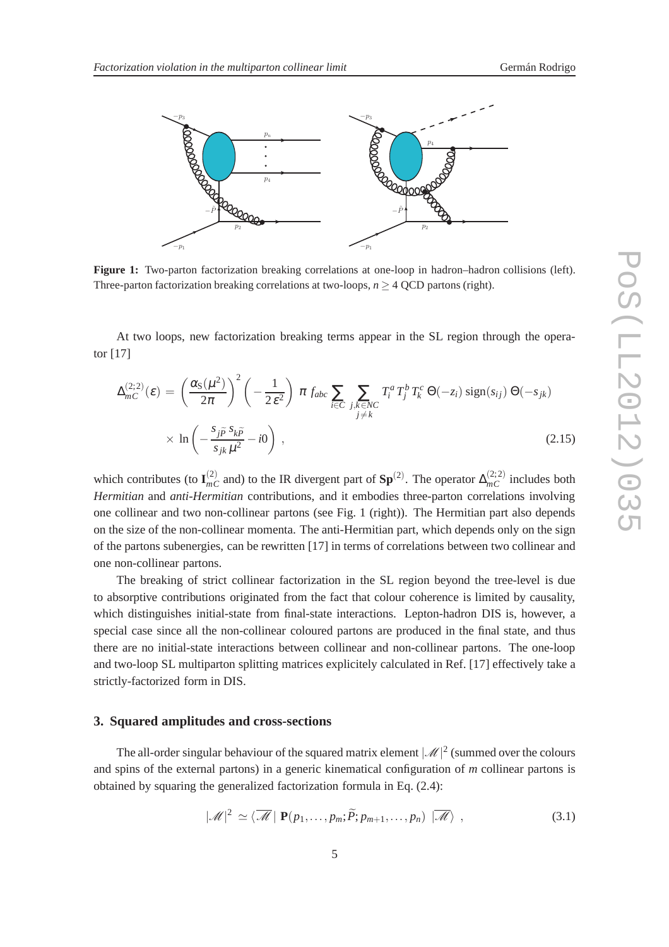

**Figure 1:** Two-parton factorization breaking correlations at one-loop in hadron–hadron collisions (left). Three-parton factorization breaking correlations at two-loops,  $n \geq 4$  QCD partons (right).

At two loops, new factorization breaking terms appear in the SL region through the operator [17]

$$
\Delta_{mC}^{(2;2)}(\varepsilon) = \left(\frac{\alpha_{\rm S}(\mu^2)}{2\pi}\right)^2 \left(-\frac{1}{2\,\varepsilon^2}\right) \pi f_{abc} \sum_{i \in C} \sum_{\substack{j,k \in NC \\ j \neq k}} T_i^a T_j^b T_k^c \Theta(-z_i) \operatorname{sign}(s_{ij}) \Theta(-s_{jk})
$$
\n
$$
\times \ln\left(-\frac{s_j \tilde{p}^s s_k \tilde{p}}{s_{jk} \mu^2} - i0\right) ,
$$
\n(2.15)

which contributes (to  $I_{mC}^{(2)}$  and) to the IR divergent part of  $Sp^{(2)}$ . The operator  $\Delta_{mC}^{(2;2)}$  includes both *Hermitian* and *anti-Hermitian* contributions, and it embodies three-parton correlations involving one collinear and two non-collinear partons (see Fig. 1 (right)). The Hermitian part also depends on the size of the non-collinear momenta. The anti-Hermitian part, which depends only on the sign of the partons subenergies, can be rewritten [17] in terms of correlations between two collinear and one non-collinear partons.

The breaking of strict collinear factorization in the SL region beyond the tree-level is due to absorptive contributions originated from the fact that colour coherence is limited by causality, which distinguishes initial-state from final-state interactions. Lepton-hadron DIS is, however, a special case since all the non-collinear coloured partons are produced in the final state, and thus there are no initial-state interactions between collinear and non-collinear partons. The one-loop and two-loop SL multiparton splitting matrices explicitely calculated in Ref. [17] effectively take a strictly-factorized form in DIS.

#### **3. Squared amplitudes and cross-sections**

The all-order singular behaviour of the squared matrix element  $\lvert \mathcal{M} \rvert^2$  (summed over the colours and spins of the external partons) in a generic kinematical configuration of *m* collinear partons is obtained by squaring the generalized factorization formula in Eq. (2.4):

$$
|\mathscr{M}|^2 \simeq \langle \overline{\mathscr{M}} | \mathbf{P}(p_1,\ldots,p_m;\widetilde{P};p_{m+1},\ldots,p_n) | \overline{\mathscr{M}} \rangle , \qquad (3.1)
$$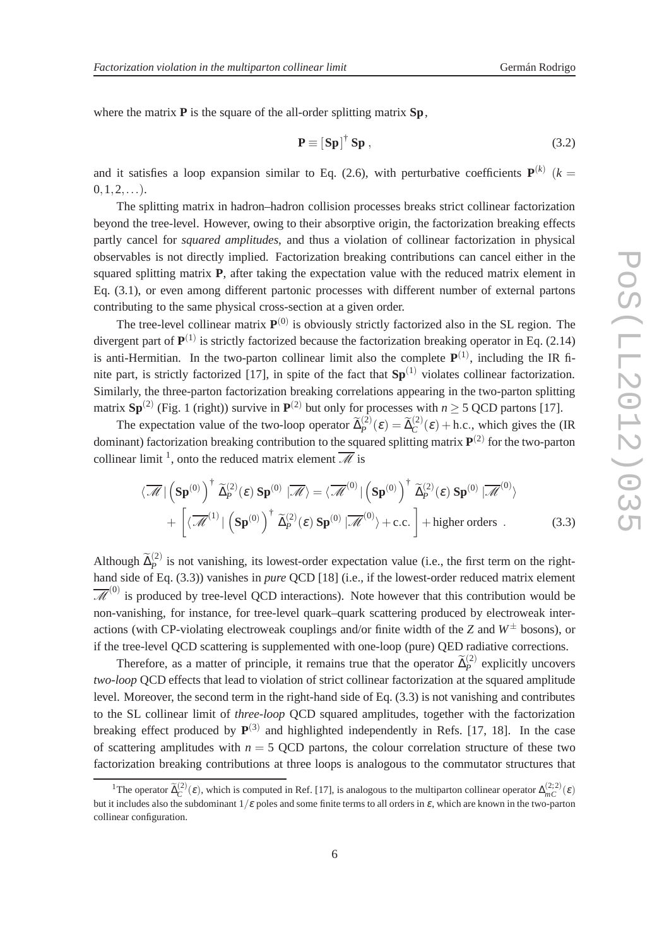where the matrix **P** is the square of the all-order splitting matrix **Sp**,

$$
\mathbf{P} \equiv \left[ \mathbf{S} \mathbf{p} \right]^{\dagger} \mathbf{S} \mathbf{p} \,, \tag{3.2}
$$

and it satisfies a loop expansion similar to Eq. (2.6), with perturbative coefficients  $P^{(k)}$  ( $k =$  $0, 1, 2, \ldots$ ).

The splitting matrix in hadron–hadron collision processes breaks strict collinear factorization beyond the tree-level. However, owing to their absorptive origin, the factorization breaking effects partly cancel for *squared amplitudes*, and thus a violation of collinear factorization in physical observables is not directly implied. Factorization breaking contributions can cancel either in the squared splitting matrix **P**, after taking the expectation value with the reduced matrix element in Eq. (3.1), or even among different partonic processes with different number of external partons contributing to the same physical cross-section at a given order.

The tree-level collinear matrix  $P^{(0)}$  is obviously strictly factorized also in the SL region. The divergent part of **P** (1) is strictly factorized because the factorization breaking operator in Eq. (2.14) is anti-Hermitian. In the two-parton collinear limit also the complete  $P^{(1)}$ , including the IR finite part, is strictly factorized [17], in spite of the fact that  $Sp<sup>(1)</sup>$  violates collinear factorization. Similarly, the three-parton factorization breaking correlations appearing in the two-parton splitting matrix  $\text{Sp}^{(2)}$  (Fig. 1 (right)) survive in  $\text{P}^{(2)}$  but only for processes with  $n \ge 5$  QCD partons [17].

The expectation value of the two-loop operator  $\tilde{\Delta}_P^{(2)}(\varepsilon) = \tilde{\Delta}_C^{(2)}(\varepsilon) + \text{h.c.,}$  which gives the (IR dominant) factorization breaking contribution to the squared splitting matrix **P** (2) for the two-parton collinear limit <sup>1</sup>, onto the reduced matrix element  $\overline{\mathcal{M}}$  is

$$
\langle \overline{\mathscr{M}} | \left( \mathbf{Sp}^{(0)} \right)^{\dagger} \widetilde{\Delta}_{P}^{(2)}(\varepsilon) \mathbf{Sp}^{(0)} | \overline{\mathscr{M}} \rangle = \langle \overline{\mathscr{M}}^{(0)} | \left( \mathbf{Sp}^{(0)} \right)^{\dagger} \widetilde{\Delta}_{P}^{(2)}(\varepsilon) \mathbf{Sp}^{(0)} | \overline{\mathscr{M}}^{(0)} \rangle + \left[ \langle \overline{\mathscr{M}}^{(1)} | \left( \mathbf{Sp}^{(0)} \right)^{\dagger} \widetilde{\Delta}_{P}^{(2)}(\varepsilon) \mathbf{Sp}^{(0)} | \overline{\mathscr{M}}^{(0)} \rangle + \text{c.c.} \right] + \text{higher orders}.
$$
 (3.3)

Although  $\tilde{\Delta}_P^{(2)}$  is not vanishing, its lowest-order expectation value (i.e., the first term on the righthand side of Eq. (3.3)) vanishes in *pure* QCD [18] (i.e., if the lowest-order reduced matrix element  $\overline{\mathscr{M}}^{(0)}$  is produced by tree-level QCD interactions). Note however that this contribution would be non-vanishing, for instance, for tree-level quark–quark scattering produced by electroweak interactions (with CP-violating electroweak couplings and/or finite width of the *Z* and  $W^{\pm}$  bosons), or if the tree-level QCD scattering is supplemented with one-loop (pure) QED radiative corrections.

Therefore, as a matter of principle, it remains true that the operator  $\tilde{\Delta}_P^{(2)}$  explicitly uncovers *two-loop* QCD effects that lead to violation of strict collinear factorization at the squared amplitude level. Moreover, the second term in the right-hand side of Eq. (3.3) is not vanishing and contributes to the SL collinear limit of *three-loop* QCD squared amplitudes, together with the factorization breaking effect produced by  $P^{(3)}$  and highlighted independently in Refs. [17, 18]. In the case of scattering amplitudes with  $n = 5$  OCD partons, the colour correlation structure of these two factorization breaking contributions at three loops is analogous to the commutator structures that

<sup>&</sup>lt;sup>1</sup>The operator  $\tilde{\Delta}_{C}^{(2)}(\varepsilon)$ , which is computed in Ref. [17], is analogous to the multiparton collinear operator  $\Delta_{mC}^{(2;2)}(\varepsilon)$ but it includes also the subdominant  $1/\varepsilon$  poles and some finite terms to all orders in  $\varepsilon$ , which are known in the two-parton collinear configuration.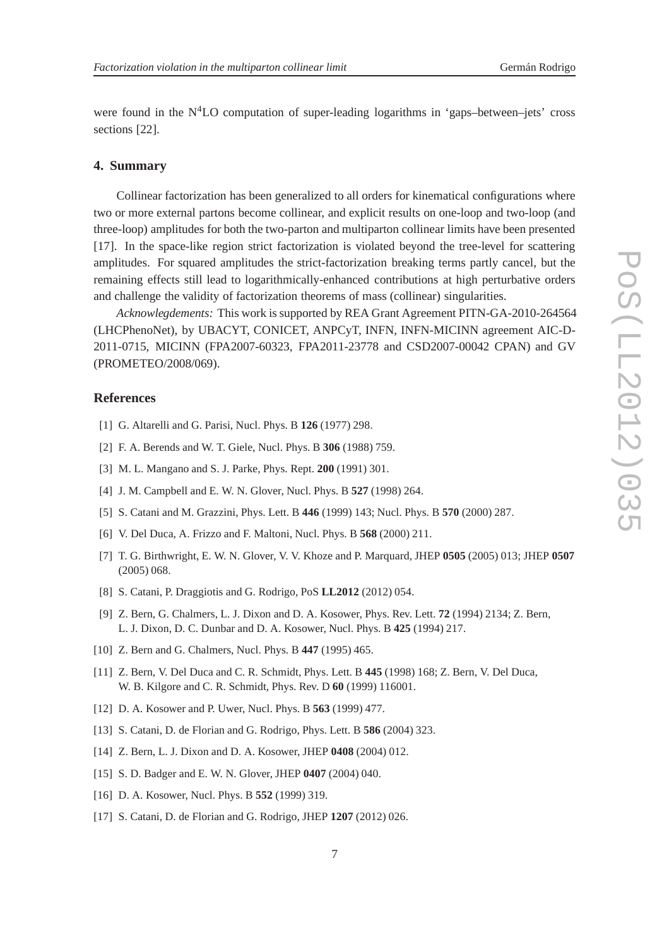were found in the  $N<sup>4</sup>LO$  computation of super-leading logarithms in 'gaps-between–jets' cross sections [22].

### **4. Summary**

Collinear factorization has been generalized to all orders for kinematical configurations where two or more external partons become collinear, and explicit results on one-loop and two-loop (and three-loop) amplitudes for both the two-parton and multiparton collinear limits have been presented [17]. In the space-like region strict factorization is violated beyond the tree-level for scattering amplitudes. For squared amplitudes the strict-factorization breaking terms partly cancel, but the remaining effects still lead to logarithmically-enhanced contributions at high perturbative orders and challenge the validity of factorization theorems of mass (collinear) singularities.

*Acknowlegdements:* This work is supported by REA Grant Agreement PITN-GA-2010-264564 (LHCPhenoNet), by UBACYT, CONICET, ANPCyT, INFN, INFN-MICINN agreement AIC-D-2011-0715, MICINN (FPA2007-60323, FPA2011-23778 and CSD2007-00042 CPAN) and GV (PROMETEO/2008/069).

#### **References**

- [1] G. Altarelli and G. Parisi, Nucl. Phys. B **126** (1977) 298.
- [2] F. A. Berends and W. T. Giele, Nucl. Phys. B **306** (1988) 759.
- [3] M. L. Mangano and S. J. Parke, Phys. Rept. **200** (1991) 301.
- [4] J. M. Campbell and E. W. N. Glover, Nucl. Phys. B **527** (1998) 264.
- [5] S. Catani and M. Grazzini, Phys. Lett. B **446** (1999) 143; Nucl. Phys. B **570** (2000) 287.
- [6] V. Del Duca, A. Frizzo and F. Maltoni, Nucl. Phys. B **568** (2000) 211.
- [7] T. G. Birthwright, E. W. N. Glover, V. V. Khoze and P. Marquard, JHEP **0505** (2005) 013; JHEP **0507** (2005) 068.
- [8] S. Catani, P. Draggiotis and G. Rodrigo, PoS **LL2012** (2012) 054.
- [9] Z. Bern, G. Chalmers, L. J. Dixon and D. A. Kosower, Phys. Rev. Lett. **72** (1994) 2134; Z. Bern, L. J. Dixon, D. C. Dunbar and D. A. Kosower, Nucl. Phys. B **425** (1994) 217.
- [10] Z. Bern and G. Chalmers, Nucl. Phys. B **447** (1995) 465.
- [11] Z. Bern, V. Del Duca and C. R. Schmidt, Phys. Lett. B **445** (1998) 168; Z. Bern, V. Del Duca, W. B. Kilgore and C. R. Schmidt, Phys. Rev. D **60** (1999) 116001.
- [12] D. A. Kosower and P. Uwer, Nucl. Phys. B **563** (1999) 477.
- [13] S. Catani, D. de Florian and G. Rodrigo, Phys. Lett. B **586** (2004) 323.
- [14] Z. Bern, L. J. Dixon and D. A. Kosower, JHEP **0408** (2004) 012.
- [15] S. D. Badger and E. W. N. Glover, JHEP **0407** (2004) 040.
- [16] D. A. Kosower, Nucl. Phys. B **552** (1999) 319.
- [17] S. Catani, D. de Florian and G. Rodrigo, JHEP **1207** (2012) 026.